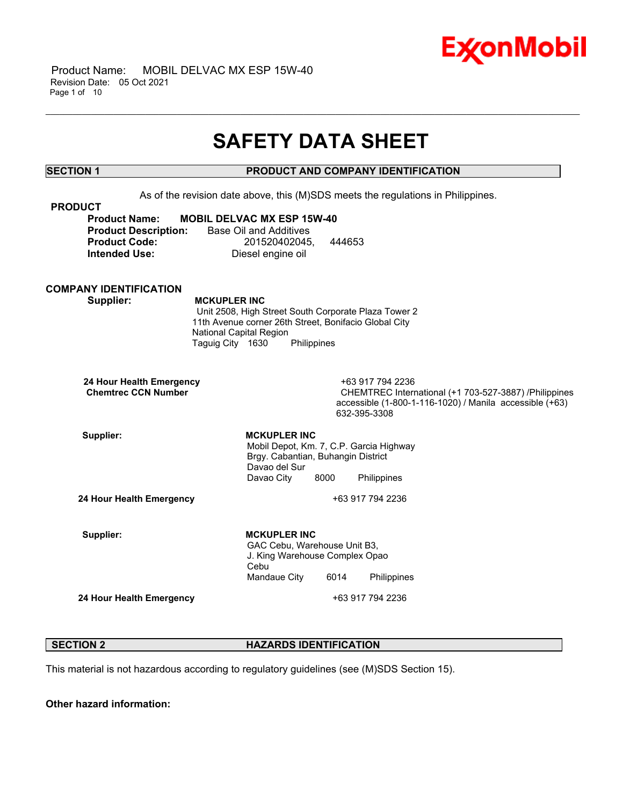

## **SAFETY DATA SHEET**

\_\_\_\_\_\_\_\_\_\_\_\_\_\_\_\_\_\_\_\_\_\_\_\_\_\_\_\_\_\_\_\_\_\_\_\_\_\_\_\_\_\_\_\_\_\_\_\_\_\_\_\_\_\_\_\_\_\_\_\_\_\_\_\_\_\_\_\_\_\_\_\_\_\_\_\_\_\_\_\_\_\_\_\_\_\_\_\_\_\_\_\_\_\_\_\_\_\_\_\_\_\_\_\_\_\_\_\_\_\_\_\_\_\_\_\_\_\_

## **SECTION 1 PRODUCT AND COMPANY IDENTIFICATION**

As of the revision date above, this (M)SDS meets the regulations in Philippines. **PRODUCT Product Name: MOBIL DELVAC MX ESP 15W-40 Product Description:** Base Oil and Additives **Product Code:** 201520402045, 444653 **Intended Use:** Diesel engine oil **COMPANY IDENTIFICATION Supplier: MCKUPLER INC** Unit 2508, High Street South Corporate Plaza Tower 2 11th Avenue corner 26th Street, Bonifacio Global City National Capital Region Taguig City 1630 Philippines **24 Hour Health Emergency** +63 917 794 2236 **CHEMTREC International (+1 703-527-3887) /Philippines** accessible (1-800-1-116-1020) / Manila accessible (+63) 632-395-3308 Supplier: **MCKUPLER** INC Mobil Depot, Km. 7, C.P. Garcia Highway Brgy. Cabantian, Buhangin District Davao del Sur Davao City 8000 Philippines **24 Hour Health Emergency** +63 917 794 2236 Supplier: **MCKUPLER** INC GAC Cebu, Warehouse Unit B3, J. King Warehouse Complex Opao Cebu Mandaue City 6014 Philippines **24 Hour Health Emergency** +63 917 794 2236

#### **SECTION 2 HAZARDS IDENTIFICATION**

This material is not hazardous according to regulatory guidelines (see (M)SDS Section 15).

**Other hazard information:**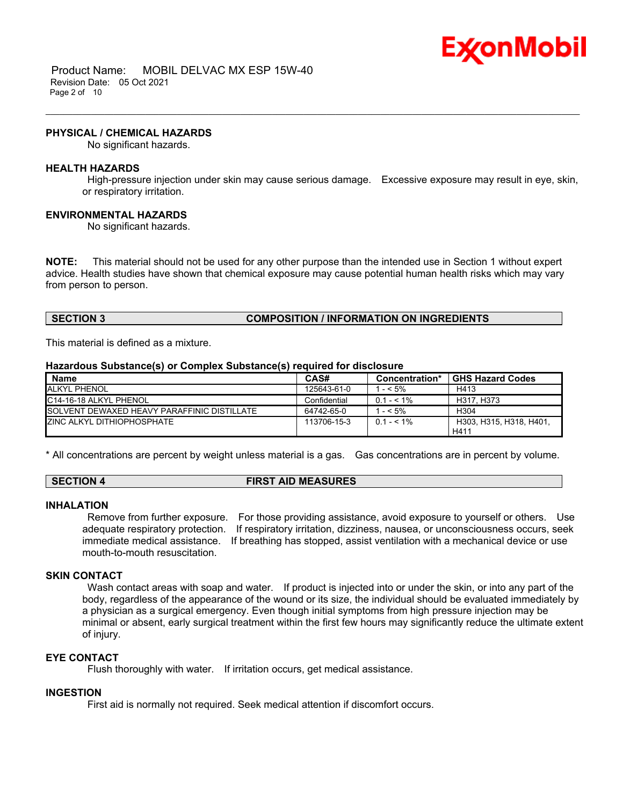

 Product Name: MOBIL DELVAC MX ESP 15W-40 Revision Date: 05 Oct 2021 Page 2 of 10

#### **PHYSICAL / CHEMICAL HAZARDS**

No significant hazards.

#### **HEALTH HAZARDS**

High-pressure injection under skin may cause serious damage. Excessive exposure may result in eye, skin, or respiratory irritation.

\_\_\_\_\_\_\_\_\_\_\_\_\_\_\_\_\_\_\_\_\_\_\_\_\_\_\_\_\_\_\_\_\_\_\_\_\_\_\_\_\_\_\_\_\_\_\_\_\_\_\_\_\_\_\_\_\_\_\_\_\_\_\_\_\_\_\_\_\_\_\_\_\_\_\_\_\_\_\_\_\_\_\_\_\_\_\_\_\_\_\_\_\_\_\_\_\_\_\_\_\_\_\_\_\_\_\_\_\_\_\_\_\_\_\_\_\_\_

#### **ENVIRONMENTAL HAZARDS**

No significant hazards.

**NOTE:** This material should not be used for any other purpose than the intended use in Section 1 without expert advice. Health studies have shown that chemical exposure may cause potential human health risks which may vary from person to person.

#### **SECTION 3 COMPOSITION / INFORMATION ON INGREDIENTS**

This material is defined as a mixture.

#### **Hazardous Substance(s) or Complex Substance(s) required for disclosure**

| <b>Name</b>                                         | CAS#         | <b>Concentration*</b> | <b>GHS Hazard Codes</b>         |
|-----------------------------------------------------|--------------|-----------------------|---------------------------------|
| <b>ALKYL PHENOL</b>                                 | 125643-61-0  | 1 - < 5%              | H413                            |
| IC14-16-18 ALKYL PHENOL                             | Confidential | $0.1 - 5.1\%$         | H317, H373                      |
| <b>ISOLVENT DEWAXED HEAVY PARAFFINIC DISTILLATE</b> | 64742-65-0   | $-5\%$                | H <sub>304</sub>                |
| <b>ZINC ALKYL DITHIOPHOSPHATE</b>                   | 113706-15-3  | $0.1 - 5.1\%$         | H303, H315, H318, H401,<br>H411 |

\* All concentrations are percent by weight unless material is a gas. Gas concentrations are in percent by volume.

#### **SECTION 4 FIRST AID MEASURES**

#### **INHALATION**

Remove from further exposure. For those providing assistance, avoid exposure to yourself or others. Use adequate respiratory protection. If respiratory irritation, dizziness, nausea, or unconsciousness occurs, seek immediate medical assistance. If breathing has stopped, assist ventilation with a mechanical device or use mouth-to-mouth resuscitation.

#### **SKIN CONTACT**

Wash contact areas with soap and water. If product is injected into or under the skin, or into any part of the body, regardless of the appearance of the wound or its size, the individual should be evaluated immediately by a physician as a surgical emergency. Even though initial symptoms from high pressure injection may be minimal or absent, early surgical treatment within the first few hours may significantly reduce the ultimate extent of injury.

#### **EYE CONTACT**

Flush thoroughly with water. If irritation occurs, get medical assistance.

#### **INGESTION**

First aid is normally not required. Seek medical attention if discomfort occurs.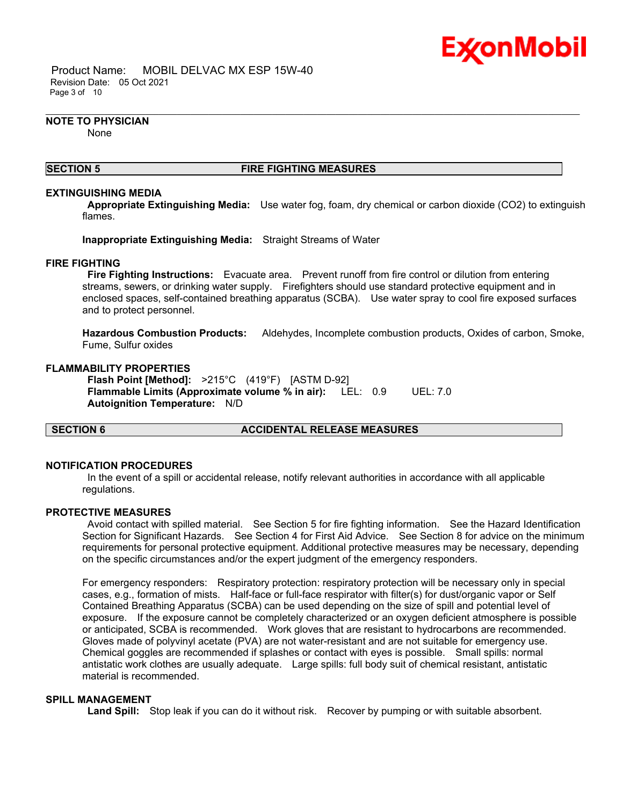

 Product Name: MOBIL DELVAC MX ESP 15W-40 Revision Date: 05 Oct 2021 Page 3 of 10

#### **NOTE TO PHYSICIAN**

None

#### **SECTION 5 FIRE FIGHTING MEASURES**

\_\_\_\_\_\_\_\_\_\_\_\_\_\_\_\_\_\_\_\_\_\_\_\_\_\_\_\_\_\_\_\_\_\_\_\_\_\_\_\_\_\_\_\_\_\_\_\_\_\_\_\_\_\_\_\_\_\_\_\_\_\_\_\_\_\_\_\_\_\_\_\_\_\_\_\_\_\_\_\_\_\_\_\_\_\_\_\_\_\_\_\_\_\_\_\_\_\_\_\_\_\_\_\_\_\_\_\_\_\_\_\_\_\_\_\_\_\_

#### **EXTINGUISHING MEDIA**

**Appropriate Extinguishing Media:** Use water fog, foam, dry chemical or carbon dioxide (CO2) to extinguish flames.

**Inappropriate Extinguishing Media:** Straight Streams of Water

#### **FIRE FIGHTING**

**Fire Fighting Instructions:** Evacuate area. Prevent runoff from fire control or dilution from entering streams, sewers, or drinking water supply. Firefighters should use standard protective equipment and in enclosed spaces, self-contained breathing apparatus (SCBA). Use water spray to cool fire exposed surfaces and to protect personnel.

**Hazardous Combustion Products:** Aldehydes, Incomplete combustion products, Oxides of carbon, Smoke, Fume, Sulfur oxides

#### **FLAMMABILITY PROPERTIES**

**Flash Point [Method]:** >215°C (419°F) [ASTM D-92] **Flammable Limits (Approximate volume % in air):** LEL: 0.9 UEL: 7.0 **Autoignition Temperature:** N/D

**SECTION 6 ACCIDENTAL RELEASE MEASURES**

#### **NOTIFICATION PROCEDURES**

In the event of a spill or accidental release, notify relevant authorities in accordance with all applicable regulations.

#### **PROTECTIVE MEASURES**

Avoid contact with spilled material. See Section 5 for fire fighting information. See the Hazard Identification Section for Significant Hazards. See Section 4 for First Aid Advice. See Section 8 for advice on the minimum requirements for personal protective equipment. Additional protective measures may be necessary, depending on the specific circumstances and/or the expert judgment of the emergency responders.

For emergency responders: Respiratory protection: respiratory protection will be necessary only in special cases, e.g., formation of mists. Half-face or full-face respirator with filter(s) for dust/organic vapor or Self Contained Breathing Apparatus (SCBA) can be used depending on the size of spill and potential level of exposure. If the exposure cannot be completely characterized or an oxygen deficient atmosphere is possible or anticipated, SCBA is recommended. Work gloves that are resistant to hydrocarbons are recommended. Gloves made of polyvinyl acetate (PVA) are not water-resistant and are not suitable for emergency use. Chemical goggles are recommended if splashes or contact with eyes is possible. Small spills: normal antistatic work clothes are usually adequate. Large spills: full body suit of chemical resistant, antistatic material is recommended.

## **SPILL MANAGEMENT**

**Land Spill:** Stop leak if you can do it without risk. Recover by pumping or with suitable absorbent.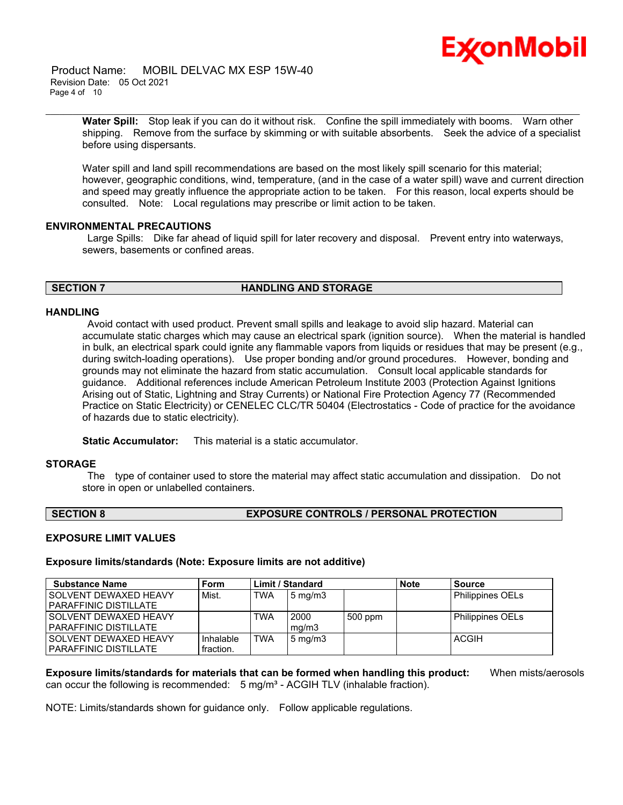

 Product Name: MOBIL DELVAC MX ESP 15W-40 Revision Date: 05 Oct 2021 Page 4 of 10

\_\_\_\_\_\_\_\_\_\_\_\_\_\_\_\_\_\_\_\_\_\_\_\_\_\_\_\_\_\_\_\_\_\_\_\_\_\_\_\_\_\_\_\_\_\_\_\_\_\_\_\_\_\_\_\_\_\_\_\_\_\_\_\_\_\_\_\_\_\_\_\_\_\_\_\_\_\_\_\_\_\_\_\_\_\_\_\_\_\_\_\_\_\_\_\_\_\_\_\_\_\_\_\_\_\_\_\_\_\_\_\_\_\_\_\_\_\_ **Water Spill:** Stop leak if you can do it without risk. Confine the spill immediately with booms. Warn other shipping. Remove from the surface by skimming or with suitable absorbents. Seek the advice of a specialist before using dispersants.

Water spill and land spill recommendations are based on the most likely spill scenario for this material; however, geographic conditions, wind, temperature, (and in the case of a water spill) wave and current direction and speed may greatly influence the appropriate action to be taken. For this reason, local experts should be consulted. Note: Local regulations may prescribe or limit action to be taken.

#### **ENVIRONMENTAL PRECAUTIONS**

Large Spills: Dike far ahead of liquid spill for later recovery and disposal. Prevent entry into waterways, sewers, basements or confined areas.

#### **SECTION 7 HANDLING AND STORAGE**

#### **HANDLING**

Avoid contact with used product. Prevent small spills and leakage to avoid slip hazard. Material can accumulate static charges which may cause an electrical spark (ignition source). When the material is handled in bulk, an electrical spark could ignite any flammable vapors from liquids or residues that may be present (e.g., during switch-loading operations). Use proper bonding and/or ground procedures. However, bonding and grounds may not eliminate the hazard from static accumulation. Consult local applicable standards for guidance. Additional references include American Petroleum Institute 2003 (Protection Against Ignitions Arising out of Static, Lightning and Stray Currents) or National Fire Protection Agency 77 (Recommended Practice on Static Electricity) or CENELEC CLC/TR 50404 (Electrostatics - Code of practice for the avoidance of hazards due to static electricity).

**Static Accumulator:** This material is a static accumulator.

#### **STORAGE**

The type of container used to store the material may affect static accumulation and dissipation. Do not store in open or unlabelled containers.

#### **SECTION 8 EXPOSURE CONTROLS / PERSONAL PROTECTION**

#### **EXPOSURE LIMIT VALUES**

**Exposure limits/standards (Note: Exposure limits are not additive)**

| <b>Substance Name</b>        | Form      |            | <b>Limit / Standard</b> |         | <b>Note</b> | <b>Source</b>           |
|------------------------------|-----------|------------|-------------------------|---------|-------------|-------------------------|
| SOLVENT DEWAXED HEAVY        | Mist.     | <b>TWA</b> | $5 \text{ mg/m}$        |         |             | <b>Philippines OELs</b> |
| <b>PARAFFINIC DISTILLATE</b> |           |            |                         |         |             |                         |
| SOLVENT DEWAXED HEAVY        |           | TWA        | 2000                    | 500 ppm |             | Philippines OELs        |
| <b>PARAFFINIC DISTILLATE</b> |           |            | ma/m3                   |         |             |                         |
| SOLVENT DEWAXED HEAVY        | Inhalable | <b>TWA</b> | $5 \text{ mg/m}$        |         |             | <b>ACGIH</b>            |
| <b>PARAFFINIC DISTILLATE</b> | fraction. |            |                         |         |             |                         |

**Exposure limits/standards for materials that can be formed when handling this product:** When mists/aerosols can occur the following is recommended:  $5 \text{ mg/m}^3$  - ACGIH TLV (inhalable fraction).

NOTE: Limits/standards shown for guidance only. Follow applicable regulations.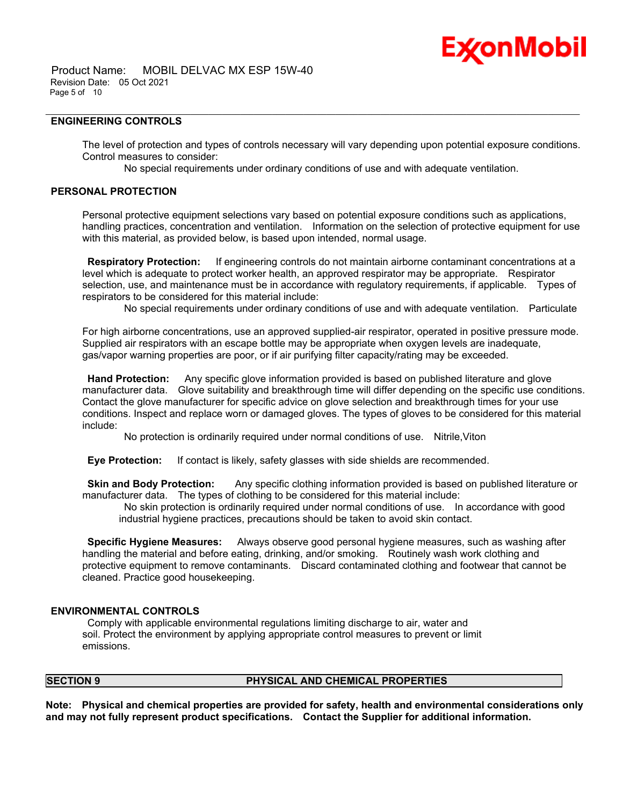# Ex⁄onMobil

#### **ENGINEERING CONTROLS**

The level of protection and types of controls necessary will vary depending upon potential exposure conditions. Control measures to consider:

No special requirements under ordinary conditions of use and with adequate ventilation.

\_\_\_\_\_\_\_\_\_\_\_\_\_\_\_\_\_\_\_\_\_\_\_\_\_\_\_\_\_\_\_\_\_\_\_\_\_\_\_\_\_\_\_\_\_\_\_\_\_\_\_\_\_\_\_\_\_\_\_\_\_\_\_\_\_\_\_\_\_\_\_\_\_\_\_\_\_\_\_\_\_\_\_\_\_\_\_\_\_\_\_\_\_\_\_\_\_\_\_\_\_\_\_\_\_\_\_\_\_\_\_\_\_\_\_\_\_\_

#### **PERSONAL PROTECTION**

Personal protective equipment selections vary based on potential exposure conditions such as applications, handling practices, concentration and ventilation. Information on the selection of protective equipment for use with this material, as provided below, is based upon intended, normal usage.

**Respiratory Protection:** If engineering controls do not maintain airborne contaminant concentrations at a level which is adequate to protect worker health, an approved respirator may be appropriate. Respirator selection, use, and maintenance must be in accordance with regulatory requirements, if applicable. Types of respirators to be considered for this material include:

No special requirements under ordinary conditions of use and with adequate ventilation. Particulate

For high airborne concentrations, use an approved supplied-air respirator, operated in positive pressure mode. Supplied air respirators with an escape bottle may be appropriate when oxygen levels are inadequate, gas/vapor warning properties are poor, or if air purifying filter capacity/rating may be exceeded.

**Hand Protection:** Any specific glove information provided is based on published literature and glove manufacturer data. Glove suitability and breakthrough time will differ depending on the specific use conditions. Contact the glove manufacturer for specific advice on glove selection and breakthrough times for your use conditions. Inspect and replace worn or damaged gloves. The types of gloves to be considered for this material include:

No protection is ordinarily required under normal conditions of use. Nitrile,Viton

**Eye Protection:** If contact is likely, safety glasses with side shields are recommended.

**Skin and Body Protection:** Any specific clothing information provided is based on published literature or manufacturer data. The types of clothing to be considered for this material include:

No skin protection is ordinarily required under normal conditions of use. In accordance with good industrial hygiene practices, precautions should be taken to avoid skin contact.

**Specific Hygiene Measures:** Always observe good personal hygiene measures, such as washing after handling the material and before eating, drinking, and/or smoking. Routinely wash work clothing and protective equipment to remove contaminants. Discard contaminated clothing and footwear that cannot be cleaned. Practice good housekeeping.

## **ENVIRONMENTAL CONTROLS**

Comply with applicable environmental regulations limiting discharge to air, water and soil. Protect the environment by applying appropriate control measures to prevent or limit emissions.

#### **SECTION 9 PHYSICAL AND CHEMICAL PROPERTIES**

**Note: Physical and chemical properties are provided for safety, health and environmental considerations only and may not fully represent product specifications. Contact the Supplier for additional information.**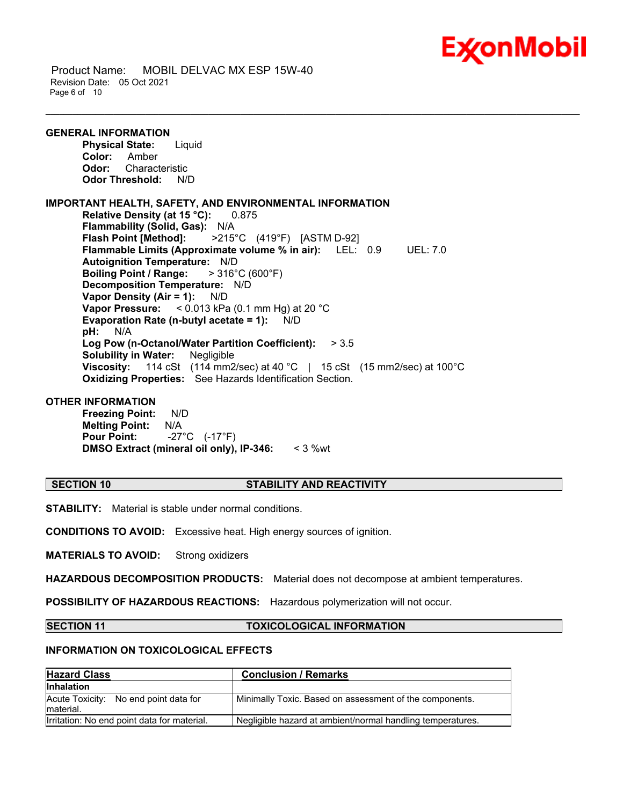

 Product Name: MOBIL DELVAC MX ESP 15W-40 Revision Date: 05 Oct 2021 Page 6 of 10

**GENERAL INFORMATION Physical State:** Liquid **Color:** Amber **Odor:** Characteristic **Odor Threshold:** N/D **IMPORTANT HEALTH, SAFETY, AND ENVIRONMENTAL INFORMATION Relative Density (at 15 °C):** 0.875 **Flammability (Solid, Gas):** N/A **Flash Point [Method]:** >215°C (419°F) [ASTM D-92] **Flammable Limits (Approximate volume % in air):** LEL: 0.9 UEL: 7.0 **Autoignition Temperature:** N/D **Boiling Point / Range:** > 316°C (600°F) **Decomposition Temperature:** N/D **Vapor Density (Air = 1):** N/D **Vapor Pressure:** < 0.013 kPa (0.1 mm Hg) at 20 °C **Evaporation Rate (n-butyl acetate = 1):** N/D **pH:** N/A **Log Pow (n-Octanol/Water Partition Coefficient):** > 3.5 **Solubility in Water:** Negligible **Viscosity:** 114 cSt (114 mm2/sec) at 40 °C | 15 cSt (15 mm2/sec) at 100°C **Oxidizing Properties:** See Hazards Identification Section.

#### **OTHER INFORMATION**

**Freezing Point:** N/D **Melting Point:** N/A **Pour Point:** -27°C (-17°F) **DMSO Extract (mineral oil only), IP-346:** < 3 %wt

#### **SECTION 10 STABILITY AND REACTIVITY**

\_\_\_\_\_\_\_\_\_\_\_\_\_\_\_\_\_\_\_\_\_\_\_\_\_\_\_\_\_\_\_\_\_\_\_\_\_\_\_\_\_\_\_\_\_\_\_\_\_\_\_\_\_\_\_\_\_\_\_\_\_\_\_\_\_\_\_\_\_\_\_\_\_\_\_\_\_\_\_\_\_\_\_\_\_\_\_\_\_\_\_\_\_\_\_\_\_\_\_\_\_\_\_\_\_\_\_\_\_\_\_\_\_\_\_\_\_\_

**STABILITY:** Material is stable under normal conditions.

**CONDITIONS TO AVOID:** Excessive heat. High energy sources of ignition.

**MATERIALS TO AVOID:** Strong oxidizers

**HAZARDOUS DECOMPOSITION PRODUCTS:** Material does not decompose at ambient temperatures.

**POSSIBILITY OF HAZARDOUS REACTIONS:** Hazardous polymerization will not occur.

#### **SECTION 11 TOXICOLOGICAL INFORMATION**

#### **INFORMATION ON TOXICOLOGICAL EFFECTS**

| <b>Hazard Class</b>                                | <b>Conclusion / Remarks</b>                                |  |  |
|----------------------------------------------------|------------------------------------------------------------|--|--|
| <b>Inhalation</b>                                  |                                                            |  |  |
| Acute Toxicity: No end point data for<br>material. | Minimally Toxic. Based on assessment of the components.    |  |  |
| Irritation: No end point data for material.        | Negligible hazard at ambient/normal handling temperatures. |  |  |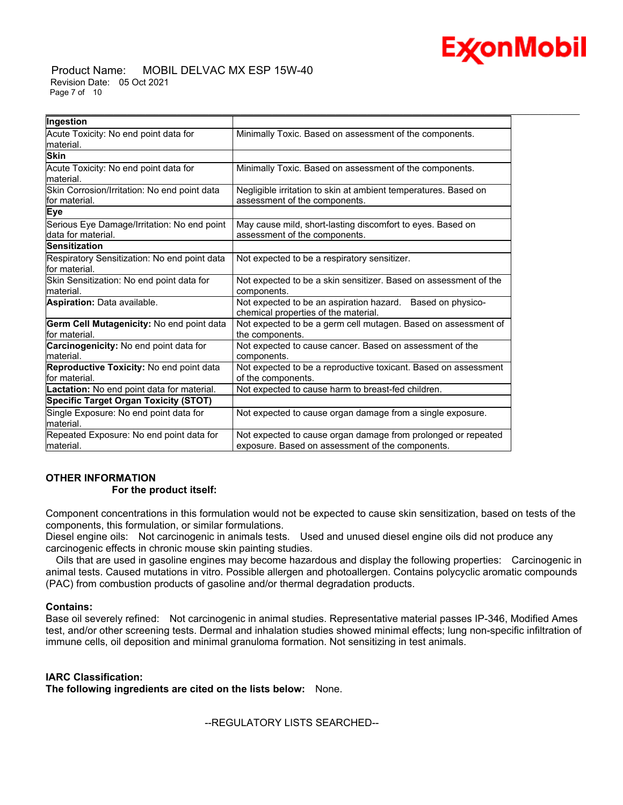

#### Product Name: MOBIL DELVAC MX ESP 15W-40 Revision Date: 05 Oct 2021 Page 7 of 10

| Ingestion                                                         |                                                                                                                   |  |
|-------------------------------------------------------------------|-------------------------------------------------------------------------------------------------------------------|--|
| Acute Toxicity: No end point data for                             | Minimally Toxic. Based on assessment of the components.                                                           |  |
| lmaterial.                                                        |                                                                                                                   |  |
| <b>Skin</b>                                                       |                                                                                                                   |  |
| Acute Toxicity: No end point data for<br>material.                | Minimally Toxic. Based on assessment of the components.                                                           |  |
| Skin Corrosion/Irritation: No end point data                      | Negligible irritation to skin at ambient temperatures. Based on                                                   |  |
| for material.                                                     | assessment of the components.                                                                                     |  |
| <b>Eye</b>                                                        |                                                                                                                   |  |
| Serious Eye Damage/Irritation: No end point<br>data for material. | May cause mild, short-lasting discomfort to eyes. Based on<br>assessment of the components.                       |  |
| <b>Sensitization</b>                                              |                                                                                                                   |  |
| Respiratory Sensitization: No end point data<br>for material.     | Not expected to be a respiratory sensitizer.                                                                      |  |
| Skin Sensitization: No end point data for<br>lmaterial.           | Not expected to be a skin sensitizer. Based on assessment of the<br>components.                                   |  |
| Aspiration: Data available.                                       | Not expected to be an aspiration hazard. Based on physico-<br>chemical properties of the material.                |  |
| <b>Germ Cell Mutagenicity: No end point data</b><br>for material. | Not expected to be a germ cell mutagen. Based on assessment of<br>the components.                                 |  |
| Carcinogenicity: No end point data for<br>lmaterial.              | Not expected to cause cancer. Based on assessment of the<br>components.                                           |  |
| Reproductive Toxicity: No end point data<br>for material.         | Not expected to be a reproductive toxicant. Based on assessment<br>of the components.                             |  |
| Lactation: No end point data for material.                        | Not expected to cause harm to breast-fed children.                                                                |  |
| Specific Target Organ Toxicity (STOT)                             |                                                                                                                   |  |
| Single Exposure: No end point data for<br>lmaterial.              | Not expected to cause organ damage from a single exposure.                                                        |  |
| Repeated Exposure: No end point data for<br>material.             | Not expected to cause organ damage from prolonged or repeated<br>exposure. Based on assessment of the components. |  |

## **OTHER INFORMATION**

## **For the product itself:**

Component concentrations in this formulation would not be expected to cause skin sensitization, based on tests of the components, this formulation, or similar formulations.

Diesel engine oils: Not carcinogenic in animals tests. Used and unused diesel engine oils did not produce any carcinogenic effects in chronic mouse skin painting studies.

 Oils that are used in gasoline engines may become hazardous and display the following properties: Carcinogenic in animal tests. Caused mutations in vitro. Possible allergen and photoallergen. Contains polycyclic aromatic compounds (PAC) from combustion products of gasoline and/or thermal degradation products.

#### **Contains:**

Base oil severely refined: Not carcinogenic in animal studies. Representative material passes IP-346, Modified Ames test, and/or other screening tests. Dermal and inhalation studies showed minimal effects; lung non-specific infiltration of immune cells, oil deposition and minimal granuloma formation. Not sensitizing in test animals.

## **IARC Classification:**

**The following ingredients are cited on the lists below:** None.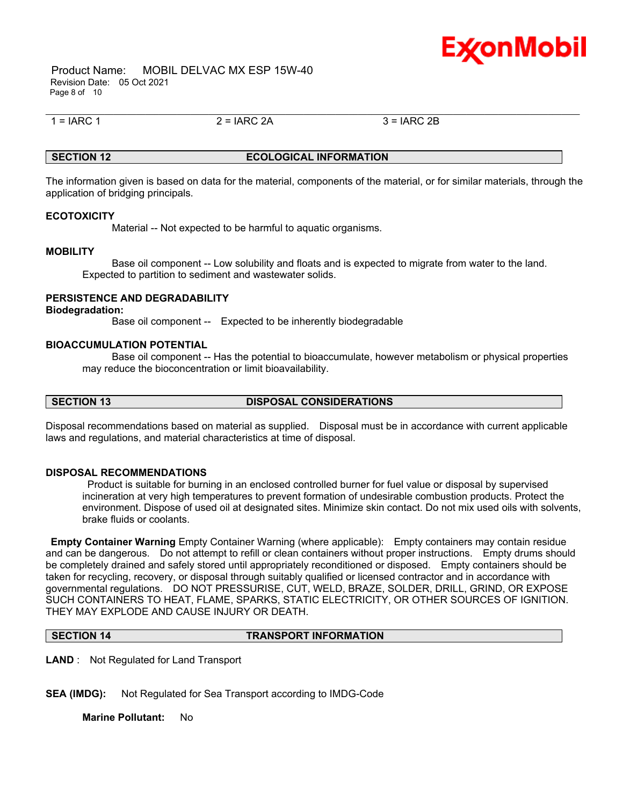

 Product Name: MOBIL DELVAC MX ESP 15W-40 Revision Date: 05 Oct 2021 Page 8 of 10

 $1 = IARC 1$  2 =  $IARC 2A$  3 =  $IARC 2B$ 

## **SECTION 12 ECOLOGICAL INFORMATION**

\_\_\_\_\_\_\_\_\_\_\_\_\_\_\_\_\_\_\_\_\_\_\_\_\_\_\_\_\_\_\_\_\_\_\_\_\_\_\_\_\_\_\_\_\_\_\_\_\_\_\_\_\_\_\_\_\_\_\_\_\_\_\_\_\_\_\_\_\_\_\_\_\_\_\_\_\_\_\_\_\_\_\_\_\_\_\_\_\_\_\_\_\_\_\_\_\_\_\_\_\_\_\_\_\_\_\_\_\_\_\_\_\_\_\_\_\_\_

The information given is based on data for the material, components of the material, or for similar materials, through the application of bridging principals.

#### **ECOTOXICITY**

Material -- Not expected to be harmful to aquatic organisms.

#### **MOBILITY**

 Base oil component -- Low solubility and floats and is expected to migrate from water to the land. Expected to partition to sediment and wastewater solids.

#### **PERSISTENCE AND DEGRADABILITY**

#### **Biodegradation:**

Base oil component -- Expected to be inherently biodegradable

#### **BIOACCUMULATION POTENTIAL**

 Base oil component -- Has the potential to bioaccumulate, however metabolism or physical properties may reduce the bioconcentration or limit bioavailability.

#### **SECTION 13 DISPOSAL CONSIDERATIONS**

Disposal recommendations based on material as supplied. Disposal must be in accordance with current applicable laws and regulations, and material characteristics at time of disposal.

#### **DISPOSAL RECOMMENDATIONS**

Product is suitable for burning in an enclosed controlled burner for fuel value or disposal by supervised incineration at very high temperatures to prevent formation of undesirable combustion products. Protect the environment. Dispose of used oil at designated sites. Minimize skin contact. Do not mix used oils with solvents, brake fluids or coolants.

**Empty Container Warning** Empty Container Warning (where applicable): Empty containers may contain residue and can be dangerous. Do not attempt to refill or clean containers without proper instructions. Empty drums should be completely drained and safely stored until appropriately reconditioned or disposed. Empty containers should be taken for recycling, recovery, or disposal through suitably qualified or licensed contractor and in accordance with governmental regulations. DO NOT PRESSURISE, CUT, WELD, BRAZE, SOLDER, DRILL, GRIND, OR EXPOSE SUCH CONTAINERS TO HEAT, FLAME, SPARKS, STATIC ELECTRICITY, OR OTHER SOURCES OF IGNITION. THEY MAY EXPLODE AND CAUSE INJURY OR DEATH.

#### **SECTION 14 TRANSPORT INFORMATION**

**LAND** : Not Regulated for Land Transport

**SEA (IMDG):** Not Regulated for Sea Transport according to IMDG-Code

**Marine Pollutant:** No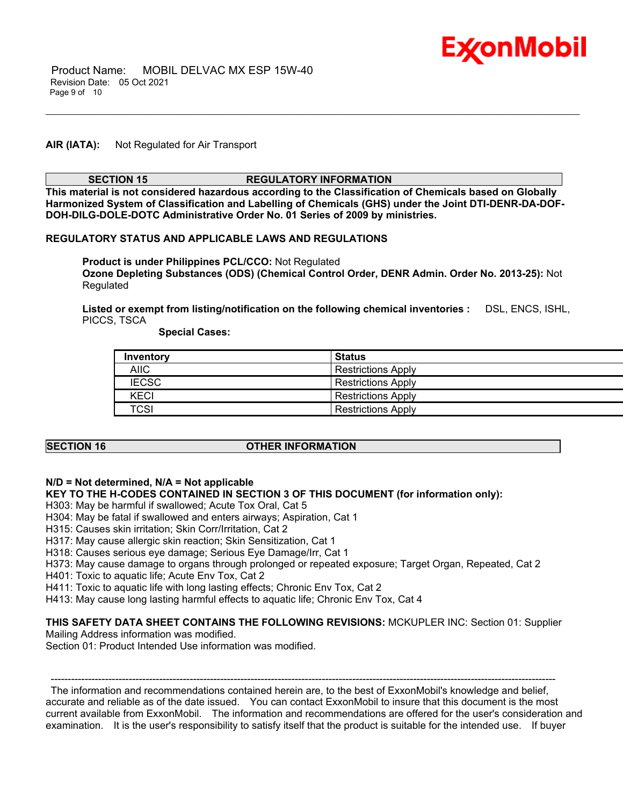

## **AIR (IATA):** Not Regulated for Air Transport

#### **SECTION 15 REGULATORY INFORMATION**

\_\_\_\_\_\_\_\_\_\_\_\_\_\_\_\_\_\_\_\_\_\_\_\_\_\_\_\_\_\_\_\_\_\_\_\_\_\_\_\_\_\_\_\_\_\_\_\_\_\_\_\_\_\_\_\_\_\_\_\_\_\_\_\_\_\_\_\_\_\_\_\_\_\_\_\_\_\_\_\_\_\_\_\_\_\_\_\_\_\_\_\_\_\_\_\_\_\_\_\_\_\_\_\_\_\_\_\_\_\_\_\_\_\_\_\_\_\_

**This material is not considered hazardous according to the Classification of Chemicals based on Globally Harmonized System of Classification and Labelling of Chemicals (GHS) under the Joint DTI-DENR-DA-DOF-DOH-DILG-DOLE-DOTC Administrative Order No. 01 Series of 2009 by ministries.**

#### **REGULATORY STATUS AND APPLICABLE LAWS AND REGULATIONS**

**Product is under Philippines PCL/CCO:** Not Regulated **Ozone Depleting Substances (ODS) (Chemical Control Order, DENR Admin. Order No. 2013-25):** Not Regulated

**Listed or exempt from listing/notification on the following chemical inventories :** DSL, ENCS, ISHL, PICCS, TSCA

 **Special Cases:**

| Inventory    | <b>Status</b>             |
|--------------|---------------------------|
| <b>AIIC</b>  | <b>Restrictions Apply</b> |
| <b>IECSC</b> | <b>Restrictions Apply</b> |
| <b>KECI</b>  | <b>Restrictions Apply</b> |
| <b>TCSI</b>  | <b>Restrictions Apply</b> |

#### **SECTION 16 OTHER INFORMATION**

#### **N/D = Not determined, N/A = Not applicable**

#### **KEY TO THE H-CODES CONTAINED IN SECTION 3 OF THIS DOCUMENT (for information only):**

H303: May be harmful if swallowed; Acute Tox Oral, Cat 5

- H304: May be fatal if swallowed and enters airways; Aspiration, Cat 1
- H315: Causes skin irritation; Skin Corr/Irritation, Cat 2
- H317: May cause allergic skin reaction; Skin Sensitization, Cat 1

H318: Causes serious eye damage; Serious Eye Damage/Irr, Cat 1

H373: May cause damage to organs through prolonged or repeated exposure; Target Organ, Repeated, Cat 2

H401: Toxic to aquatic life; Acute Env Tox, Cat 2

H411: Toxic to aquatic life with long lasting effects; Chronic Env Tox, Cat 2

H413: May cause long lasting harmful effects to aquatic life; Chronic Env Tox, Cat 4

#### **THIS SAFETY DATA SHEET CONTAINS THE FOLLOWING REVISIONS:** MCKUPLER INC: Section 01: Supplier

Mailing Address information was modified.

Section 01: Product Intended Use information was modified.

----------------------------------------------------------------------------------------------------------------------------------------------------- The information and recommendations contained herein are, to the best of ExxonMobil's knowledge and belief, accurate and reliable as of the date issued. You can contact ExxonMobil to insure that this document is the most current available from ExxonMobil. The information and recommendations are offered for the user's consideration and examination. It is the user's responsibility to satisfy itself that the product is suitable for the intended use. If buyer